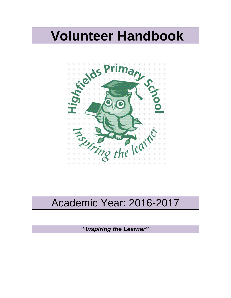# **Volunteer Handbook**



## Academic Year: 2016-2017

*"Inspiring the Learner"*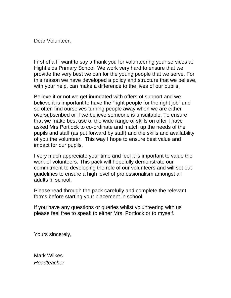Dear Volunteer,

First of all I want to say a thank you for volunteering your services at Highfields Primary School. We work very hard to ensure that we provide the very best we can for the young people that we serve. For this reason we have developed a policy and structure that we believe, with your help, can make a difference to the lives of our pupils.

Believe it or not we get inundated with offers of support and we believe it is important to have the "right people for the right job" and so often find ourselves turning people away when we are either oversubscribed or if we believe someone is unsuitable. To ensure that we make best use of the wide range of skills on offer I have asked Mrs Portlock to co-ordinate and match up the needs of the pupils and staff (as put forward by staff) and the skills and availability of you the volunteer. This way I hope to ensure best value and impact for our pupils.

I very much appreciate your time and feel it is important to value the work of volunteers. This pack will hopefully demonstrate our commitment to developing the role of our volunteers and will set out guidelines to ensure a high level of professionalism amongst all adults in school.

Please read through the pack carefully and complete the relevant forms before starting your placement in school.

If you have any questions or queries whilst volunteering with us please feel free to speak to either Mrs. Portlock or to myself.

Yours sincerely,

Mark Wilkes *Headteacher*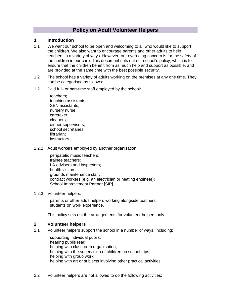## **Policy on Adult Volunteer Helpers**

#### **1 Introduction**

- 1.1 We want our school to be open and welcoming to all who would like to support the children. We also want to encourage parents and other adults to help teachers in a variety of ways. However, our overriding concern is for the safety of the children in our care. This document sets out our school's policy, which is to ensure that the children benefit from as much help and support as possible, and are provided at the same time with the best possible security.
- 1.2 The school has a variety of adults working on the premises at any one time. They can be categorised as follows:
- 1.2.1 Paid full- or part-time staff employed by the school:

teachers; teaching assistants; SEN assistants; nursery nurse; caretaker; cleaners; dinner supervisors; school secretaries; librarian; instructors.

1.2.2 Adult workers employed by another organisation:

peripatetic music teachers; trainee teachers; LA advisers and inspectors; health visitors; grounds maintenance staff; contract workers (e.g. an electrician or heating engineer); School Improvement Partner [SIP].

#### 1.2.3 Volunteer helpers:

parents or other adult helpers working alongside teachers; students on work experience.

This policy sets out the arrangements for volunteer helpers only.

#### **2 Volunteer helpers**

2.1 Volunteer helpers support the school in a number of ways, including:

supporting individual pupils; hearing pupils read; helping with classroom organisation; helping with the supervision of children on school trips; helping with group work; helping with art or subjects involving other practical activities.

2.2 Volunteer helpers are not allowed to do the following activities: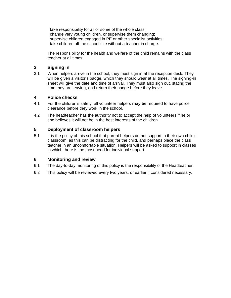take responsibility for all or some of the whole class; change very young children, or supervise them changing; supervise children engaged in PE or other specialist activities; take children off the school site without a teacher in charge.

The responsibility for the health and welfare of the child remains with the class teacher at all times.

## **3 Signing in**

3.1 When helpers arrive in the school, they must sign in at the reception desk. They will be given a visitor's badge, which they should wear at all times. The signing-in sheet will give the date and time of arrival. They must also sign out, stating the time they are leaving, and return their badge before they leave.

## **4 Police checks**

- 4.1 For the children's safety, all volunteer helpers **may be** required to have police clearance before they work in the school.
- 4.2 The headteacher has the authority not to accept the help of volunteers if he or she believes it will not be in the best interests of the children.

## **5 Deployment of classroom helpers**

5.1 It is the policy of this school that parent helpers do not support in their own child's classroom, as this can be distracting for the child, and perhaps place the class teacher in an uncomfortable situation. Helpers will be asked to support in classes in which there is the most need for individual support.

#### **6 Monitoring and review**

- 6.1 The day-to-day monitoring of this policy is the responsibility of the Headteacher.
- 6.2 This policy will be reviewed every two years, or earlier if considered necessary.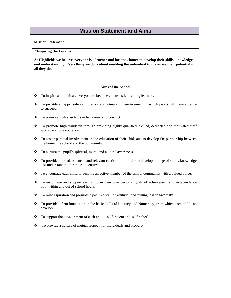## **Mission Statement and Aims**

#### **Mission Statement**

**"Inspiring the Learner."**

**At Highfields we believe everyone is a learner and has the chance to develop their skills, knowledge and understanding. Everything we do is about enabling the individual to maximise their potential in all they do.**

#### **Aims of the School**

- \* To inspire and motivate everyone to become enthusiastic life long learners.
- $\bullet$  To provide a happy, safe caring ethos and stimulating environment in which pupils will have a desire to succeed.
- \* To promote high standards in behaviour and conduct.
- To promote high standards through providing highly qualified, skilled, dedicated and motivated staff who strive for excellence.
- To foster parental involvement in the education of their chid, and to develop the partnership between the home, the school and the community.
- \* To nurture the pupil's spiritual, moral and cultural awareness.
- \* To provide a broad, balanced and relevant curriculum in order to develop a range of skills, knowledge and understanding for the  $21<sup>st</sup>$  century.
- To encourage each child to become an active member of the school community with a valued voice.
- \* To encourage and support each child in their own personal goals of achievement and independence both within and out of school hours.
- To raise aspiration and promote a positive 'can do attitude' and willingness to take risks.
- To provide a firm foundation in the basic skills of Literacy and Numeracy, from which each child can develop.
- \* To support the development of each child's self esteem and self belief.
- \* To provide a culture of mutual respect for individuals and property.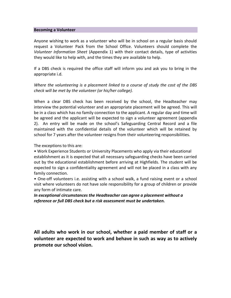#### **Becoming a Volunteer**

Anyone wishing to work as a volunteer who will be in school on a regular basis should request a Volunteer Pack from the School Office. Volunteers should complete the *Volunteer Information Sheet* (Appendix 1) with their contact details, type of activities they would like to help with, and the times they are available to help.

If a DBS check is required the office staff will inform you and ask you to bring in the appropriate i.d.

*Where the volunteering is a placement linked to a course of study the cost of the DBS check will be met by the volunteer (or his/her college).*

When a clear DBS check has been received by the school, the Headteacher may interview the potential volunteer and an appropriate placement will be agreed. This will be in a class which has no family connection to the applicant. A regular day and time will be agreed and the applicant will be expected to sign a volunteer agreement (appendix 2). An entry will be made on the school's Safeguarding Central Record and a file maintained with the confidential details of the volunteer which will be retained by school for 7 years after the volunteer resigns from their volunteering responsibilities.

The exceptions to this are:

• Work Experience Students or University Placements who apply via their educational establishment as it is expected that all necessary safeguarding checks have been carried out by the educational establishment before arriving at Highfields. The student will be expected to sign a confidentiality agreement and will not be placed in a class with any family connection.

• One-off volunteers i.e. assisting with a school walk, a fund raising event or a school visit where volunteers do not have sole responsibility for a group of children or provide any form of intimate care.

*In exceptional circumstances the Headteacher can agree a placement without a reference or full DBS check but a risk assessment must be undertaken.*

**All adults who work in our school, whether a paid member of staff or a volunteer are expected to work and behave in such as way as to actively promote our school vision.**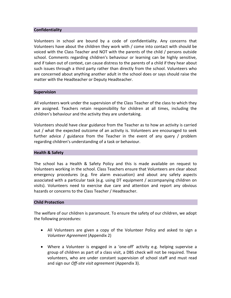#### **Confidentiality**

Volunteers in school are bound by a code of confidentiality. Any concerns that Volunteers have about the children they work with / come into contact with should be voiced with the Class Teacher and NOT with the parents of the child / persons outside school. Comments regarding children's behaviour or learning can be highly sensitive, and if taken out of context, can cause distress to the parents of a child if they hear about such issues through a third party rather than directly from the school. Volunteers who are concerned about anything another adult in the school does or says should raise the matter with the Headteacher or Deputy Headteacher.

#### **Supervision**

All volunteers work under the supervision of the Class Teacher of the class to which they are assigned. Teachers retain responsibility for children at all times, including the children's behaviour and the activity they are undertaking.

Volunteers should have clear guidance from the Teacher as to how an activity is carried out / what the expected outcome of an activity is. Volunteers are encouraged to seek further advice / guidance from the Teacher in the event of any query / problem regarding children's understanding of a task or behaviour.

#### **Health & Safety**

The school has a Health & Safety Policy and this is made available on request to Volunteers working in the school. Class Teachers ensure that Volunteers are clear about emergency procedures (e.g. fire alarm evacuation) and about any safety aspects associated with a particular task (e.g. using DT equipment / accompanying children on visits). Volunteers need to exercise due care and attention and report any obvious hazards or concerns to the Class Teacher / Headteacher.

#### **Child Protection**

The welfare of our children is paramount. To ensure the safety of our children, we adopt the following procedures:

- All Volunteers are given a copy of the Volunteer Policy and asked to sign a *Volunteer Agreement* (Appendix 2)
- Where a Volunteer is engaged in a 'one-off' activity e.g. helping supervise a group of children as part of a class visit, a DBS check will not be required. These volunteers, who are under constant supervision of school staff and must read and sign our *Off-site visit agreement* (Appendix 3).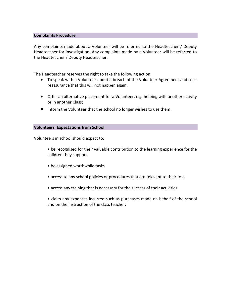#### **Complaints Procedure**

Any complaints made about a Volunteer will be referred to the Headteacher / Deputy Headteacher for investigation. Any complaints made by a Volunteer will be referred to the Headteacher / Deputy Headteacher.

The Headteacher reserves the right to take the following action:

- To speak with a Volunteer about a breach of the Volunteer Agreement and seek reassurance that this will not happen again;
- Offer an alternative placement for a Volunteer, e.g. helping with another activity or in another Class;
- Inform the Volunteer that the school no longer wishes to use them.

#### **Volunteers' Expectations from School**

Volunteers in school should expect to:

- be recognised for their valuable contribution to the learning experience for the children they support
- be assigned worthwhile tasks
- access to any school policies or procedures that are relevant to their role
- access any training that is necessary for the success of their activities
- claim any expenses incurred such as purchases made on behalf of the school and on the instruction of the class teacher.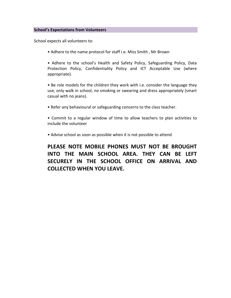#### **School's Expectations from Volunteers**

School expects all volunteers to:

• Adhere to the name protocol for staff i.e. Miss Smith , Mr Brown

• Adhere to the school's Health and Safety Policy, Safeguarding Policy, Data Protection Policy, Confidentiality Policy and ICT Acceptable Use (where appropriate).

• Be role models for the children they work with i.e. consider the language they use, only walk in school, no smoking or swearing and dress appropriately (smart casual with no jeans).

• Refer any behavioural or safeguarding concerns to the class teacher.

• Commit to a regular window of time to allow teachers to plan activities to include the volunteer

• Advise school as soon as possible when it is not possible to attend

## **PLEASE NOTE MOBILE PHONES MUST NOT BE BROUGHT INTO THE MAIN SCHOOL AREA. THEY CAN BE LEFT SECURELY IN THE SCHOOL OFFICE ON ARRIVAL AND COLLECTED WHEN YOU LEAVE.**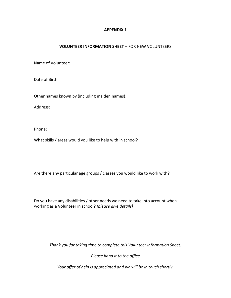#### **APPENDIX 1**

#### **VOLUNTEER INFORMATION SHEET** – FOR NEW VOLUNTEERS

Name of Volunteer:

Date of Birth:

Other names known by (including maiden names):

Address:

Phone:

What skills / areas would you like to help with in school?

Are there any particular age groups / classes you would like to work with?

Do you have any disabilities / other needs we need to take into account when working as a Volunteer in school? *(please give details)*

*Thank you for taking time to complete this Volunteer Information Sheet.*

*Please hand it to the office*

*Your offer of help is appreciated and we will be in touch shortly.*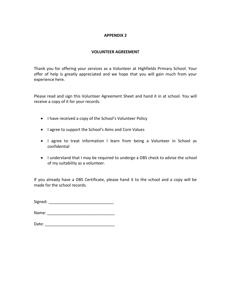#### **APPENDIX 2**

#### **VOLUNTEER AGREEMENT**

Thank you for offering your services as a Volunteer at Highfields Primary School. Your offer of help is greatly appreciated and we hope that you will gain much from your experience here.

Please read and sign this Volunteer Agreement Sheet and hand it in at school. You will receive a copy of it for your records.

- I have received a copy of the School's Volunteer Policy
- I agree to support the School's Aims and Core Values
- I agree to treat information I learn from being a Volunteer in School as confidential
- I understand that I may be required to undergo a DBS check to advise the school of my suitability as a volunteer.

If you already have a DBS Certificate, please hand it to the school and a copy will be made for the school records.

| Signed: |  |
|---------|--|
|         |  |

Name: \_\_\_\_\_\_\_\_\_\_\_\_\_\_\_\_\_\_\_\_\_\_\_\_\_\_\_\_\_\_

| Date: |  |
|-------|--|
|       |  |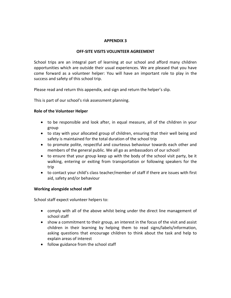#### **APPENDIX 3**

#### **OFF-SITE VISITS VOLUNTEER AGREEMENT**

School trips are an integral part of learning at our school and afford many children opportunities which are outside their usual experiences. We are pleased that you have come forward as a volunteer helper: You will have an important role to play in the success and safety of this school trip.

Please read and return this appendix, and sign and return the helper's slip.

This is part of our school's risk assessment planning.

#### **Role of the Volunteer Helper**

- to be responsible and look after, in equal measure, all of the children in your group
- to stay with your allocated group of children, ensuring that their well being and safety is maintained for the total duration of the school trip
- to promote polite, respectful and courteous behaviour towards each other and members of the general public. We all go as ambassadors of our school!
- to ensure that your group keep up with the body of the school visit party, be it walking, entering or exiting from transportation or following speakers for the trip
- to contact your child's class teacher/member of staff if there are issues with first aid, safety and/or behaviour

#### **Working alongside school staff**

School staff expect volunteer helpers to:

- comply with all of the above whilst being under the direct line management of school staff
- show a commitment to their group, an interest in the focus of the visit and assist children in their learning by helping them to read signs/labels/information, asking questions that encourage children to think about the task and help to explain areas of interest
- follow guidance from the school staff